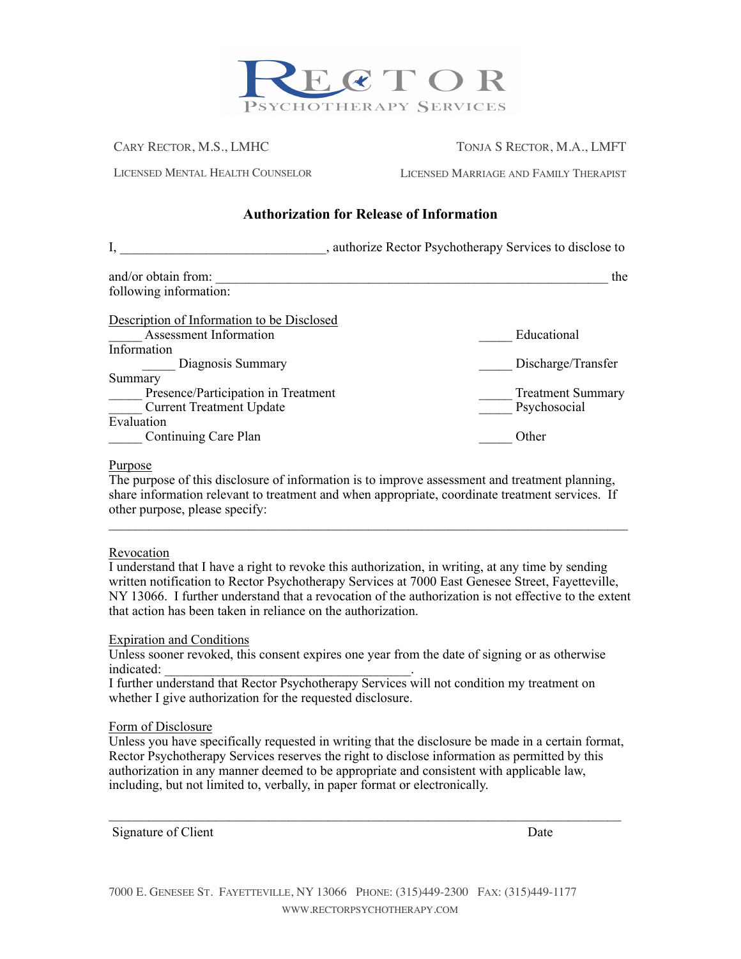

CARY RECTOR, M.S., LMHC TONJA S RECTOR, M.A., LMFT

LICENSED MENTAL HEALTH COUNSELOR LICENSED MARRIAGE AND FAMILY THERAPIST

# **Authorization for Release of Information**

|                                            | , authorize Rector Psychotherapy Services to disclose to |
|--------------------------------------------|----------------------------------------------------------|
| and/or obtain from:                        | the                                                      |
| following information:                     |                                                          |
| Description of Information to be Disclosed |                                                          |
| Assessment Information                     | Educational                                              |
| Information                                |                                                          |
| Diagnosis Summary                          | Discharge/Transfer                                       |
| Summary                                    |                                                          |
| Presence/Participation in Treatment        | <b>Treatment Summary</b>                                 |
| <b>Current Treatment Update</b>            | Psychosocial                                             |
| Evaluation                                 |                                                          |
| Continuing Care Plan                       | Other                                                    |

### Purpose

The purpose of this disclosure of information is to improve assessment and treatment planning, share information relevant to treatment and when appropriate, coordinate treatment services. If other purpose, please specify:

 $\mathcal{L}_\text{max} = \frac{1}{2} \sum_{i=1}^n \mathcal{L}_\text{max} = \frac{1}{2} \sum_{i=1}^n \mathcal{L}_\text{max} = \frac{1}{2} \sum_{i=1}^n \mathcal{L}_\text{max} = \frac{1}{2} \sum_{i=1}^n \mathcal{L}_\text{max} = \frac{1}{2} \sum_{i=1}^n \mathcal{L}_\text{max} = \frac{1}{2} \sum_{i=1}^n \mathcal{L}_\text{max} = \frac{1}{2} \sum_{i=1}^n \mathcal{L}_\text{max} = \frac{1}{2} \sum_{i=$ 

## Revocation

I understand that I have a right to revoke this authorization, in writing, at any time by sending written notification to Rector Psychotherapy Services at 7000 East Genesee Street, Fayetteville, NY 13066. I further understand that a revocation of the authorization is not effective to the extent that action has been taken in reliance on the authorization.

### Expiration and Conditions

Unless sooner revoked, this consent expires one year from the date of signing or as otherwise indicated:  $\blacksquare$ 

I further understand that Rector Psychotherapy Services will not condition my treatment on whether I give authorization for the requested disclosure.

### Form of Disclosure

Unless you have specifically requested in writing that the disclosure be made in a certain format, Rector Psychotherapy Services reserves the right to disclose information as permitted by this authorization in any manner deemed to be appropriate and consistent with applicable law, including, but not limited to, verbally, in paper format or electronically.

 $\mathcal{L}_\mathcal{L} = \{ \mathcal{L}_\mathcal{L} = \{ \mathcal{L}_\mathcal{L} = \{ \mathcal{L}_\mathcal{L} = \{ \mathcal{L}_\mathcal{L} = \{ \mathcal{L}_\mathcal{L} = \{ \mathcal{L}_\mathcal{L} = \{ \mathcal{L}_\mathcal{L} = \{ \mathcal{L}_\mathcal{L} = \{ \mathcal{L}_\mathcal{L} = \{ \mathcal{L}_\mathcal{L} = \{ \mathcal{L}_\mathcal{L} = \{ \mathcal{L}_\mathcal{L} = \{ \mathcal{L}_\mathcal{L} = \{ \mathcal{L}_\mathcal{$ 

Signature of Client Date

7000 E. GENESEE ST. FAYETTEVILLE, NY 13066 PHONE: (315)449-2300 FAX: (315)449-1177 WWW.RECTORPSYCHOTHERAPY.COM